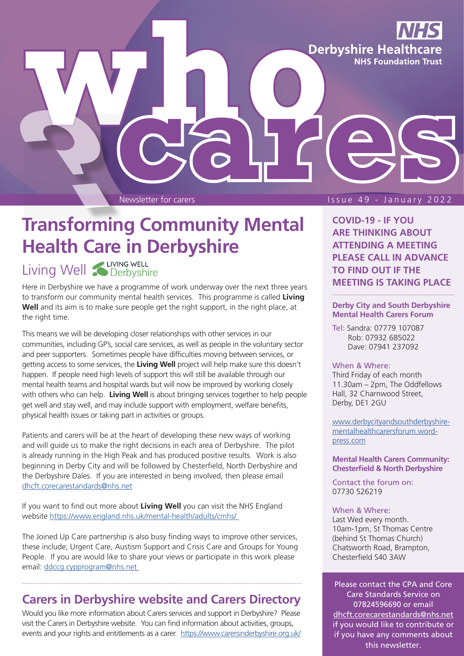**Derbyshire Healthcare NHS Foundation Trust** 

#### Newsletter for carers and the state of the Issue 49 - January 2022

# **Transforming Community Mental Health Care in Derbyshire**

## Living Well **CLIVING WELL**

Here in Derbyshire we have a programme of work underway over the next three years to transform our community mental health services. This programme is called **Living**  Well and its aim is to make sure people get the right support, in the right place, at the right time.

This means we will be developing closer relationships with other services in our communities, including GP's, social care services, as well as people in the voluntary sector and peer supporters. Sometimes people have difficulties moving between services, or getting access to some services, the **Living Well** project will help make sure this doesn't happen. If people need high levels of support this will still be available through our mental health teams and hospital wards but will now be improved by working closely with others who can help. **Living Well** is about bringing services together to help people get well and stay well, and may include support with employment, welfare benefits, physical health issues or taking part in activities or groups.

Patients and carers will be at the heart of developing these new ways of working and will guide us to make the right decisions in each area of Derbyshire. The pilot is already running in the High Peak and has produced positive results. Work is also beginning in Derby City and will be followed by Chesterfield, North Derbyshire and the Derbyshire Dales. If you are interested in being involved, then please email [dhcft.corecarestandards@nhs.net](mailto:dhcft.corecarestandards@nhs.net)

If you want to find out more about **Living Well** you can visit the NHS England website <https://www.england.nhs.uk/mental-health/adults/cmhs/>

The Joined Up Care partnership is also busy finding ways to improve other services, these include; Urgent Care, Austism Support and Crisis Care and Groups for Young People. If you are would like to share your views or participate in this work please email: [ddccg.cypprogram@nhs.net](mailto:ddccg.cypprogram@nhs.net) 

### **Carers in Derbyshire website and Carers Directory**

Would you like more information about Carers services and support in Derbyshire? Please visit the Carers in Derbyshire website. You can find information about activities, groups, events and your rights and entitlements as a carer. <https://www.carersinderbyshire.org.uk/>

**COVID-19 - IF YOU ARE THINKING ABOUT ATTENDING A MEETING PLEASE CALL IN ADVANCE TO FIND OUT IF THE MEETING IS TAKING PLACE** 

#### **Derby City and South Derbyshire Mental Health Carers Forum**

Tel: Sandra: 07779 107087 Rob: 07932 685022 Dave: 07941 237092

#### When & Where:

Third Friday of each month 11.30am – 2pm, The Oddfellows Hall, 32 Charnwood Street, Derby, DE1 2GU

[www.derbycityandsouthderbyshire](https://derbycityandsouthderbyshirementalhealthcarersforum.wordpress.com)mentalhealthcarersforum.wordpress.com

#### **Mental Health Carers Community: Chesterfield & North Derbyshire**

Contact the forum on: 07730 526219

#### When & Where:

Last Wed every month. 10am-1pm, St Thomas Centre (behind St Thomas Church) Chatsworth Road, Brampton, Chesterfield S40 3AW

Please contact the CPA and Core Care Standards Service on 07824596690 or email [dhcft.corecarestandards@nhs.net](mailto:dhcft.corecarestandards@nhs.net)  if you would like to contribute or if you have any comments about this newsletter.